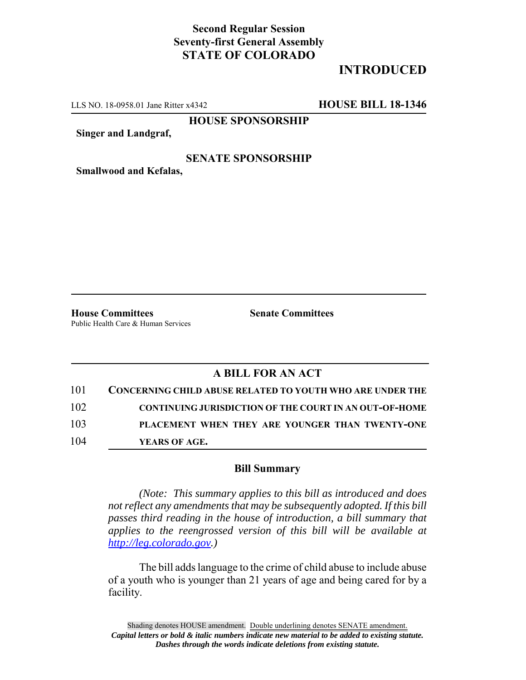## **Second Regular Session Seventy-first General Assembly STATE OF COLORADO**

# **INTRODUCED**

LLS NO. 18-0958.01 Jane Ritter x4342 **HOUSE BILL 18-1346**

**HOUSE SPONSORSHIP**

**Singer and Landgraf,**

### **SENATE SPONSORSHIP**

**Smallwood and Kefalas,**

**House Committees Senate Committees** Public Health Care & Human Services

### **A BILL FOR AN ACT**

| 101 | <b>CONCERNING CHILD ABUSE RELATED TO YOUTH WHO ARE UNDER THE</b> |
|-----|------------------------------------------------------------------|
| 102 | <b>CONTINUING JURISDICTION OF THE COURT IN AN OUT-OF-HOME</b>    |
| 103 | PLACEMENT WHEN THEY ARE YOUNGER THAN TWENTY-ONE                  |
| 104 | YEARS OF AGE.                                                    |

#### **Bill Summary**

*(Note: This summary applies to this bill as introduced and does not reflect any amendments that may be subsequently adopted. If this bill passes third reading in the house of introduction, a bill summary that applies to the reengrossed version of this bill will be available at http://leg.colorado.gov.)*

The bill adds language to the crime of child abuse to include abuse of a youth who is younger than 21 years of age and being cared for by a facility.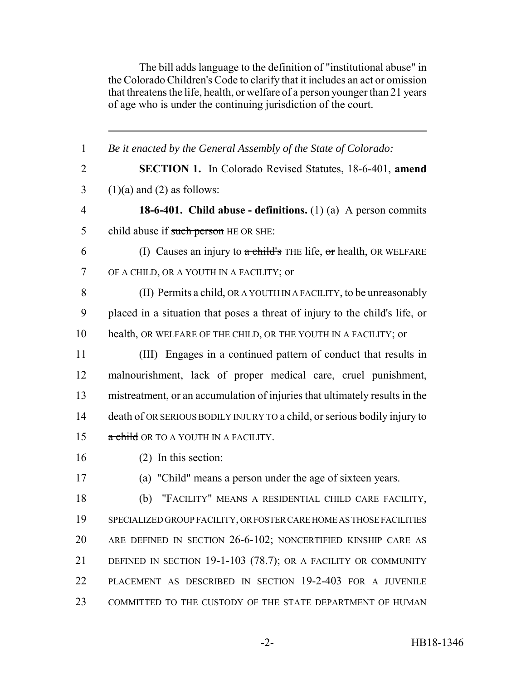The bill adds language to the definition of "institutional abuse" in the Colorado Children's Code to clarify that it includes an act or omission that threatens the life, health, or welfare of a person younger than 21 years of age who is under the continuing jurisdiction of the court.

| 1              | Be it enacted by the General Assembly of the State of Colorado:             |
|----------------|-----------------------------------------------------------------------------|
| $\overline{2}$ | <b>SECTION 1.</b> In Colorado Revised Statutes, 18-6-401, amend             |
| 3              | $(1)(a)$ and $(2)$ as follows:                                              |
| $\overline{4}$ | <b>18-6-401.</b> Child abuse - definitions. $(1)$ (a) A person commits      |
| 5              | child abuse if such person HE OR SHE:                                       |
| 6              | (I) Causes an injury to $\alpha$ child's THE life, or health, OR WELFARE    |
| 7              | OF A CHILD, OR A YOUTH IN A FACILITY; or                                    |
| 8              | (II) Permits a child, OR A YOUTH IN A FACILITY, to be unreasonably          |
| 9              | placed in a situation that poses a threat of injury to the child's life, or |
| 10             | health, OR WELFARE OF THE CHILD, OR THE YOUTH IN A FACILITY; or             |
| 11             | (III) Engages in a continued pattern of conduct that results in             |
| 12             | malnourishment, lack of proper medical care, cruel punishment,              |
| 13             | mistreatment, or an accumulation of injuries that ultimately results in the |
| 14             | death of OR SERIOUS BODILY INJURY TO a child, or serious bodily injury to   |
| 15             | a child OR TO A YOUTH IN A FACILITY.                                        |
| 16             | $(2)$ In this section:                                                      |
| 17             | (a) "Child" means a person under the age of sixteen years.                  |
| 18             | "FACILITY" MEANS A RESIDENTIAL CHILD CARE FACILITY,<br>(b)                  |
| 19             | SPECIALIZED GROUP FACILITY, OR FOSTER CARE HOME AS THOSE FACILITIES         |
| 20             | ARE DEFINED IN SECTION 26-6-102; NONCERTIFIED KINSHIP CARE AS               |
| 21             | DEFINED IN SECTION 19-1-103 (78.7); OR A FACILITY OR COMMUNITY              |
| 22             | PLACEMENT AS DESCRIBED IN SECTION 19-2-403 FOR A JUVENILE                   |
| 23             | COMMITTED TO THE CUSTODY OF THE STATE DEPARTMENT OF HUMAN                   |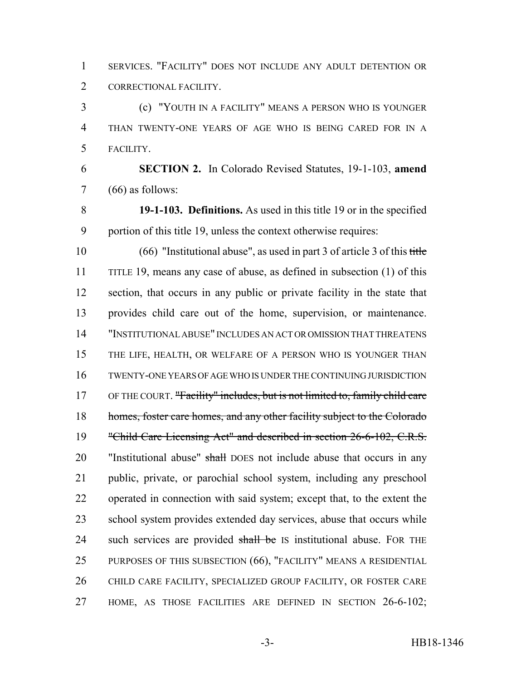SERVICES. "FACILITY" DOES NOT INCLUDE ANY ADULT DETENTION OR CORRECTIONAL FACILITY.

 (c) "YOUTH IN A FACILITY" MEANS A PERSON WHO IS YOUNGER THAN TWENTY-ONE YEARS OF AGE WHO IS BEING CARED FOR IN A FACILITY.

 **SECTION 2.** In Colorado Revised Statutes, 19-1-103, **amend** (66) as follows:

 **19-1-103. Definitions.** As used in this title 19 or in the specified portion of this title 19, unless the context otherwise requires:

 (66) "Institutional abuse", as used in part 3 of article 3 of this title 11 TITLE 19, means any case of abuse, as defined in subsection (1) of this section, that occurs in any public or private facility in the state that provides child care out of the home, supervision, or maintenance. "INSTITUTIONAL ABUSE" INCLUDES AN ACT OR OMISSION THAT THREATENS THE LIFE, HEALTH, OR WELFARE OF A PERSON WHO IS YOUNGER THAN TWENTY-ONE YEARS OF AGE WHO IS UNDER THE CONTINUING JURISDICTION 17 OF THE COURT. "Facility" includes, but is not limited to, family child care 18 homes, foster care homes, and any other facility subject to the Colorado "Child Care Licensing Act" and described in section 26-6-102, C.R.S. 20 "Institutional abuse" shall DOES not include abuse that occurs in any public, private, or parochial school system, including any preschool operated in connection with said system; except that, to the extent the school system provides extended day services, abuse that occurs while 24 such services are provided shall be IS institutional abuse. FOR THE PURPOSES OF THIS SUBSECTION (66), "FACILITY" MEANS A RESIDENTIAL CHILD CARE FACILITY, SPECIALIZED GROUP FACILITY, OR FOSTER CARE HOME, AS THOSE FACILITIES ARE DEFINED IN SECTION 26-6-102;